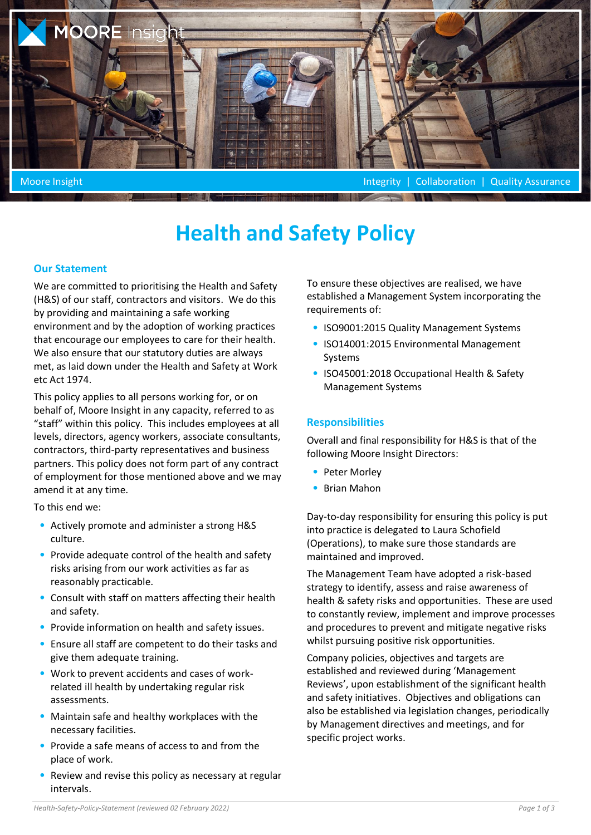

# **Health and Safety Policy**

#### **Our Statement**

We are committed to prioritising the Health and Safety (H&S) of our staff, contractors and visitors. We do this by providing and maintaining a safe working environment and by the adoption of working practices that encourage our employees to care for their health. We also ensure that our statutory duties are always met, as laid down under the Health and Safety at Work etc Act 1974.

This policy applies to all persons working for, or on behalf of, Moore Insight in any capacity, referred to as "staff" within this policy. This includes employees at all levels, directors, agency workers, associate consultants, contractors, third-party representatives and business partners. This policy does not form part of any contract of employment for those mentioned above and we may amend it at any time.

To this end we:

- Actively promote and administer a strong H&S culture.
- Provide adequate control of the health and safety risks arising from our work activities as far as reasonably practicable.
- Consult with staff on matters affecting their health and safety.
- Provide information on health and safety issues.
- Ensure all staff are competent to do their tasks and give them adequate training.
- Work to prevent accidents and cases of workrelated ill health by undertaking regular risk assessments.
- Maintain safe and healthy workplaces with the necessary facilities.
- Provide a safe means of access to and from the place of work.
- Review and revise this policy as necessary at regular intervals.

To ensure these objectives are realised, we have established a Management System incorporating the requirements of:

- ISO9001:2015 Quality Management Systems
- ISO14001:2015 Environmental Management Systems
- ISO45001:2018 Occupational Health & Safety Management Systems

#### **Responsibilities**

Overall and final responsibility for H&S is that of the following Moore Insight Directors:

- Peter Morley
- Brian Mahon

Day-to-day responsibility for ensuring this policy is put into practice is delegated to Laura Schofield (Operations), to make sure those standards are maintained and improved.

The Management Team have adopted a risk-based strategy to identify, assess and raise awareness of health & safety risks and opportunities. These are used to constantly review, implement and improve processes and procedures to prevent and mitigate negative risks whilst pursuing positive risk opportunities.

Company policies, objectives and targets are established and reviewed during 'Management Reviews', upon establishment of the significant health and safety initiatives. Objectives and obligations can also be established via legislation changes, periodically by Management directives and meetings, and for specific project works.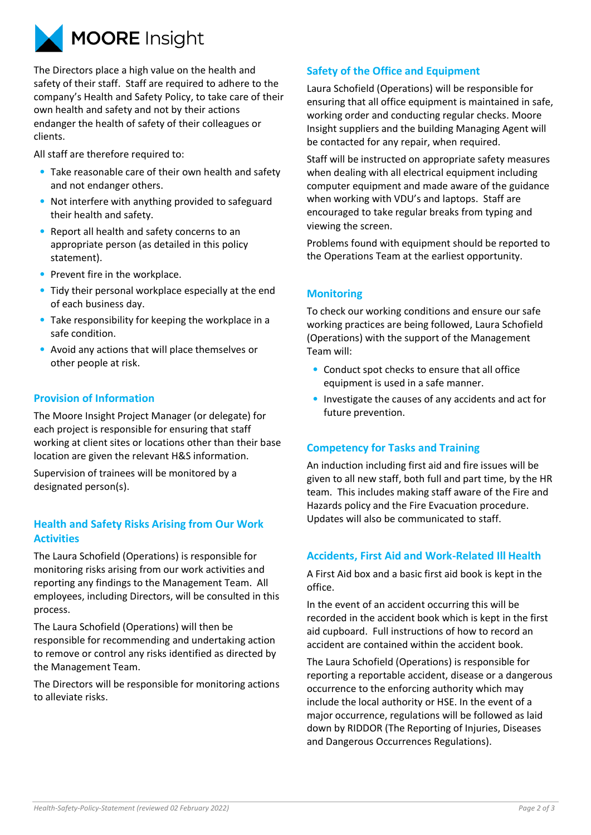

The Directors place a high value on the health and safety of their staff. Staff are required to adhere to the company's Health and Safety Policy, to take care of their own health and safety and not by their actions endanger the health of safety of their colleagues or clients.

All staff are therefore required to:

- Take reasonable care of their own health and safety and not endanger others.
- Not interfere with anything provided to safeguard their health and safety.
- Report all health and safety concerns to an appropriate person (as detailed in this policy statement).
- Prevent fire in the workplace.
- Tidy their personal workplace especially at the end of each business day.
- Take responsibility for keeping the workplace in a safe condition.
- Avoid any actions that will place themselves or other people at risk.

## **Provision of Information**

The Moore Insight Project Manager (or delegate) for each project is responsible for ensuring that staff working at client sites or locations other than their base location are given the relevant H&S information.

Supervision of trainees will be monitored by a designated person(s).

## **Health and Safety Risks Arising from Our Work Activities**

The Laura Schofield (Operations) is responsible for monitoring risks arising from our work activities and reporting any findings to the Management Team. All employees, including Directors, will be consulted in this process.

The Laura Schofield (Operations) will then be responsible for recommending and undertaking action to remove or control any risks identified as directed by the Management Team.

The Directors will be responsible for monitoring actions to alleviate risks.

## **Safety of the Office and Equipment**

Laura Schofield (Operations) will be responsible for ensuring that all office equipment is maintained in safe, working order and conducting regular checks. Moore Insight suppliers and the building Managing Agent will be contacted for any repair, when required.

Staff will be instructed on appropriate safety measures when dealing with all electrical equipment including computer equipment and made aware of the guidance when working with VDU's and laptops. Staff are encouraged to take regular breaks from typing and viewing the screen.

Problems found with equipment should be reported to the Operations Team at the earliest opportunity.

## **Monitoring**

To check our working conditions and ensure our safe working practices are being followed, Laura Schofield (Operations) with the support of the Management Team will:

- Conduct spot checks to ensure that all office equipment is used in a safe manner.
- Investigate the causes of any accidents and act for future prevention.

## **Competency for Tasks and Training**

An induction including first aid and fire issues will be given to all new staff, both full and part time, by the HR team. This includes making staff aware of the Fire and Hazards policy and the Fire Evacuation procedure. Updates will also be communicated to staff.

## **Accidents, First Aid and Work-Related Ill Health**

A First Aid box and a basic first aid book is kept in the office.

In the event of an accident occurring this will be recorded in the accident book which is kept in the first aid cupboard. Full instructions of how to record an accident are contained within the accident book.

The Laura Schofield (Operations) is responsible for reporting a reportable accident, disease or a dangerous occurrence to the enforcing authority which may include the local authority or HSE. In the event of a major occurrence, regulations will be followed as laid down by RIDDOR (The Reporting of Injuries, Diseases and Dangerous Occurrences Regulations).